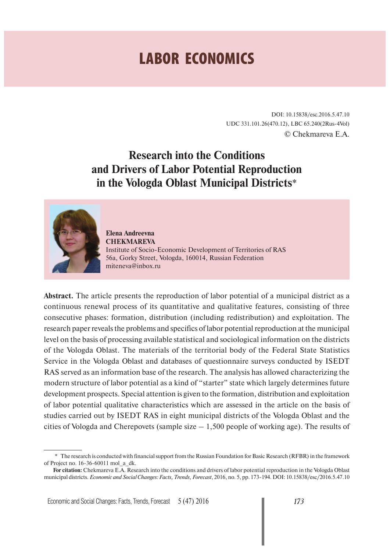# **LABOR ECONOMICS**

DOI: 10.15838/esc.2016.5.47.10 UDC 331.101.26(470.12), LBC 65.240(2Rus-4Vol) © Chekmareva E.A.

# **Research into the Conditions and Drivers of Labor Potential Reproduction in the Vologda Oblast Municipal Districts**\*



**Elena Andreevna CHEKMAREVA** Institute of Socio-Economic Development of Territories of RAS 56a, Gorky Street, Vologda, 160014, Russian Federation miteneva@inbox.ru

**Abstract.** The article presents the reproduction of labor potential of a municipal district as a continuous renewal process of its quantitative and qualitative features, consisting of three consecutive phases: formation, distribution (including redistribution) and exploitation. The research paper reveals the problems and specifics of labor potential reproduction at the municipal level on the basis of processing available statistical and sociological information on the districts of the Vologda Oblast. The materials of the territorial body of the Federal State Statistics Service in the Vologda Oblast and databases of questionnaire surveys conducted by ISEDT RAS served as an information base of the research. The analysis has allowed characterizing the modern structure of labor potential as a kind of "starter" state which largely determines future development prospects. Special attention is given to the formation, distribution and exploitation of labor potential qualitative characteristics which are assessed in the article on the basis of studies carried out by ISEDT RAS in eight municipal districts of the Vologda Oblast and the cities of Vologda and Cherepovets (sample size  $-1,500$  people of working age). The results of

<sup>\*</sup> The research is conducted with financial support from the Russian Foundation for Basic Research (RFBR) in the framework of Project no. 16-36-60011 mol\_a\_dk.

**For citation:** Chekmareva E.A. Research into the conditions and drivers of labor potential reproduction in the Vologda Oblast municipal districts. *Economic and Social Changes: Facts, Trends, Forecast*, 2016, no. 5, pp. 173-194. DOI: 10.15838/esc/2016.5.47.10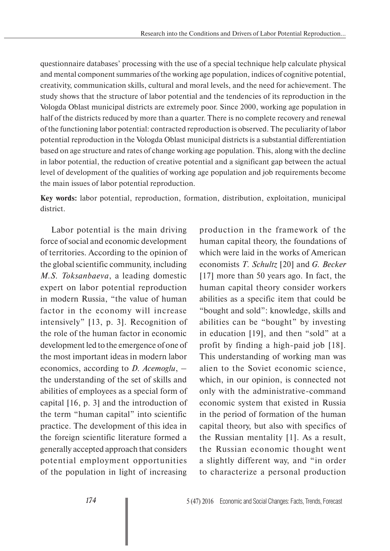questionnaire databases' processing with the use of a special technique help calculate physical and mental component summaries of the working age population, indices of cognitive potential, creativity, communication skills, cultural and moral levels, and the need for achievement. The study shows that the structure of labor potential and the tendencies of its reproduction in the Vologda Oblast municipal districts are extremely poor. Since 2000, working age population in half of the districts reduced by more than a quarter. There is no complete recovery and renewal of the functioning labor potential: contracted reproduction is observed. The peculiarity of labor potential reproduction in the Vologda Oblast municipal districts is a substantial differentiation based on age structure and rates of change working age population. This, along with the decline in labor potential, the reduction of creative potential and a significant gap between the actual level of development of the qualities of working age population and job requirements become the main issues of labor potential reproduction.

**Key words:** labor potential, reproduction, formation, distribution, exploitation, municipal district.

Labor potential is the main driving force of social and economic development of territories. According to the opinion of the global scientific community, including *M.S. Toksanbaeva*, a leading domestic expert on labor potential reproduction in modern Russia, "the value of human factor in the economy will increase intensively" [13, p. 3]. Recognition of the role of the human factor in economic development led to the emergence of one of the most important ideas in modern labor economics, according to *D. Acemoglu*, – the understanding of the set of skills and abilities of employees as a special form of capital [16, p. 3] and the introduction of the term "human capital" into scientific practice. The development of this idea in the foreign scientific literature formed a generally accepted approach that considers potential employment opportunities of the population in light of increasing

production in the framework of the human capital theory, the foundations of which were laid in the works of American economists *T. Schultz* [20] and *G. Becker* [17] more than 50 years ago. In fact, the human capital theory consider workers abilities as a specific item that could be "bought and sold": knowledge, skills and abilities can be "bought" by investing in education [19], and then "sold" at a profit by finding a high-paid job [18]. This understanding of working man was alien to the Soviet economic science, which, in our opinion, is connected not only with the administrative-command economic system that existed in Russia in the period of formation of the human capital theory, but also with specifics of the Russian mentality [1]. As a result, the Russian economic thought went a slightly different way, and "in order to characterize a personal production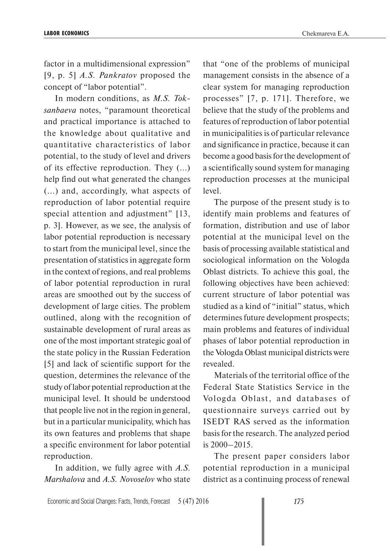factor in a multidimensional expression" [9, p. 5] *A.S. Pankratov* proposed the concept of "labor potential".

In modern conditions, as *M.S. Toksanbaeva* notes, "paramount theoretical and practical importance is attached to the knowledge about qualitative and quantitative characteristics of labor potential, to the study of level and drivers of its effective reproduction. They (...) help find out what generated the changes (...) and, accordingly, what aspects of reproduction of labor potential require special attention and adjustment" [13, p. 3]. However, as we see, the analysis of labor potential reproduction is necessary to start from the municipal level, since the presentation of statistics in aggregate form in the context of regions, and real problems of labor potential reproduction in rural areas are smoothed out by the success of development of large cities. The problem outlined, along with the recognition of sustainable development of rural areas as one of the most important strategic goal of the state policy in the Russian Federation [5] and lack of scientific support for the question, determines the relevance of the study of labor potential reproduction at the municipal level. It should be understood that people live not in the region in general, but in a particular municipality, which has its own features and problems that shape a specific environment for labor potential reproduction.

In addition, we fully agree with *A.S. Marshalova* and *A.S. Novoselov* who state that "one of the problems of municipal management consists in the absence of a clear system for managing reproduction processes" [7, p. 171]. Therefore, we believe that the study of the problems and features of reproduction of labor potential in municipalities is of particular relevance and significance in practice, because it can become a good basis for the development of a scientifically sound system for managing reproduction processes at the municipal level.

The purpose of the present study is to identify main problems and features of formation, distribution and use of labor potential at the municipal level on the basis of processing available statistical and sociological information on the Vologda Oblast districts. To achieve this goal, the following objectives have been achieved: current structure of labor potential was studied as a kind of "initial" status, which determines future development prospects; main problems and features of individual phases of labor potential reproduction in the Vologda Oblast municipal districts were revealed.

Materials of the territorial office of the Federal State Statistics Service in the Vologda Oblast, and databases of questionnaire surveys carried out by ISEDT RAS served as the information basis for the research. The analyzed period is 2000–2015.

The present paper considers labor potential reproduction in a municipal district as a continuing process of renewal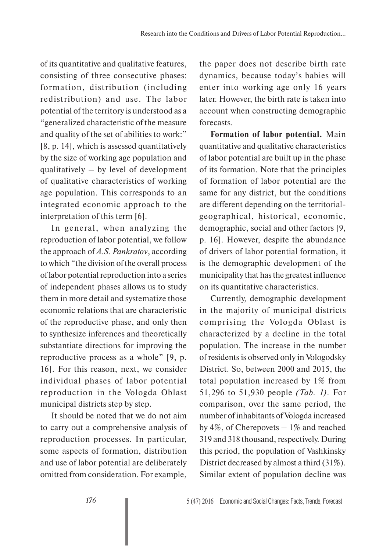of its quantitative and qualitative features, consisting of three consecutive phases: formation, distribution (including redistribution) and use. The labor potential of the territory is understood as a "generalized characteristic of the measure and quality of the set of abilities to work:" [8, p. 14], which is assessed quantitatively by the size of working age population and qualitatively – by level of development of qualitative characteristics of working age population. This corresponds to an integrated economic approach to the interpretation of this term [6].

In general, when analyzing the reproduction of labor potential, we follow the approach of *A.S. Pankratov*, according to which "the division of the overall process of labor potential reproduction into a series of independent phases allows us to study them in more detail and systematize those economic relations that are characteristic of the reproductive phase, and only then to synthesize inferences and theoretically substantiate directions for improving the reproductive process as a whole" [9, p. 16]. For this reason, next, we consider individual phases of labor potential reproduction in the Vologda Oblast municipal districts step by step.

It should be noted that we do not aim to carry out a comprehensive analysis of reproduction processes. In particular, some aspects of formation, distribution and use of labor potential are deliberately omitted from consideration. For example,

the paper does not describe birth rate dynamics, because today's babies will enter into working age only 16 years later. However, the birth rate is taken into account when constructing demographic forecasts.

**Formation of labor potential.** Main quantitative and qualitative characteristics of labor potential are built up in the phase of its formation. Note that the principles of formation of labor potential are the same for any district, but the conditions are different depending on the territorialgeographical, historical, economic, demographic, social and other factors [9, p. 16]. However, despite the abundance of drivers of labor potential formation, it is the demographic development of the municipality that has the greatest influence on its quantitative characteristics.

Currently, demographic development in the majority of municipal districts comprising the Vologda Oblast is characterized by a decline in the total population. The increase in the number of residents is observed only in Vologodsky District. So, between 2000 and 2015, the total population increased by 1% from 51,296 to 51,930 people *(Tab. 1)*. For comparison, over the same period, the number of inhabitants of Vologda increased by 4%, of Cherepovets  $-1\%$  and reached 319 and 318 thousand, respectively. During this period, the population of Vashkinsky District decreased by almost a third (31%). Similar extent of population decline was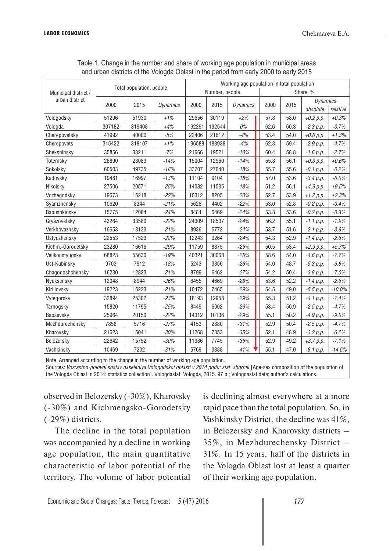|                      |        |                          |                 |        |                | Working age population in total population |      |      |                 |           |
|----------------------|--------|--------------------------|-----------------|--------|----------------|--------------------------------------------|------|------|-----------------|-----------|
| Municipal district / |        | Total population, people |                 |        | Number, people |                                            |      |      | Share, %        |           |
| urban district       | 2000   | 2015                     | <b>Dynamics</b> | 2000   | 2015           | <b>Dynamics</b>                            | 2000 | 2015 | <b>Dynamics</b> |           |
|                      |        |                          |                 |        |                |                                            |      |      | absolute        | relative. |
| Vologodsky           | 51296  | 51930                    | $+1%$           | 29656  | 30119          | $+2%$                                      | 57.8 | 58.0 | $+0.2 p.p.$     | $+0.3%$   |
| Vologda              | 307182 | 319408                   | $+4%$           | 192291 | 192544         | 0%                                         | 62.6 | 60.3 | $-2.3 p.p.$     | $-3.7%$   |
| Cherepovetsky        | 41992  | 40000                    | $-5%$           | 22406  | 21612          | $-4%$                                      | 53.4 | 54.0 | $+0.6 p.p.$     | $+1.3%$   |
| Cherepovets          | 315422 | 318107                   | $+1%$           | 196588 | 188938         | $-4%$                                      | 62.3 | 59.4 | $-2.9 p.p.$     | $-4.7%$   |
| Sheksninsky          | 35856  | 33211                    | $-7%$           | 21666  | 19521          | $-10%$                                     | 60.4 | 58.8 | $-1.6 p.p.$     | $-2.7%$   |
| Totemsky             | 26890  | 23083                    | $-14%$          | 15004  | 12960          | $-14%$                                     | 55.8 | 56.1 | $+0.3 p.p.$     | $+0.6%$   |
| Sokolsky             | 60503  | 49735                    | $-18%$          | 33707  | 27640          | $-18%$                                     | 55.7 | 55.6 | $-0.1 p.p.$     | $-0.2%$   |
| Kaduysky             | 19481  | 16997                    | $-13%$          | 11104  | 9104           | $-18%$                                     | 57.0 | 53.6 | $-3.4 p.p.$     | $-6.0%$   |
| Nikolsky             | 27506  | 20571                    | $-25%$          | 14082  | 11535          | $-18%$                                     | 51.2 | 56.1 | $+4.9 p.p.$     | $+9.5%$   |
| Vozhegodsky          | 19573  | 15218                    | $-22%$          | 10312  | 8205           | $-20%$                                     | 52.7 | 53.9 | $+1.2 p.p.$     | $+2.3%$   |
| Syamzhensky          | 10620  | 8344                     | $-21%$          | 5626   | 4402           | $-22%$                                     | 53.0 | 52.8 | $-0.2 p.p.$     | $-0.4%$   |
| Babushkinsky         | 15775  | 12064                    | $-24%$          | 8484   | 6469           | $-24%$                                     | 53.8 | 53.6 | $-0.2 p.p.$     | $-0.3%$   |
| Gryazovetsky         | 43264  | 33580                    | $-22%$          | 24309  | 18507          | $-24%$                                     | 56.2 | 55.1 | $-1.1 p.p.$     | $-1.9%$   |
| Verkhovazhsky        | 16653  | 13133                    | $-21%$          | 8936   | 6772           | $-24%$                                     | 53.7 | 51.6 | $-2.1 p.p.$     | $-3.9%$   |
| Ustyuzhensky         | 22553  | 17523                    | $-22%$          | 12243  | 9264           | $-24%$                                     | 54.3 | 52.9 | $-1.4 p.p.$     | $-2.6%$   |
| Kichm.-Gorodetsky    | 23280  | 16616                    | $-29%$          | 11759  | 8875           | $-25%$                                     | 50.5 | 53.4 | $+2.9 p.p.$     | $+5.7%$   |
| Velikoustyugsky      | 68823  | 55630                    | $-19%$          | 40321  | 30068          | $-25%$                                     | 58.6 | 54.0 | $-4.6 p.p.$     | $-7.7%$   |
| Ust-Kubinsky         | 9703   | 7912                     | $-18%$          | 5243   | 3856           | $-26%$                                     | 54.0 | 48.7 | $-5.3 p.p.$     | $-9.8%$   |
| Chagodoshchensky     | 16230  | 12823                    | $-21%$          | 8799   | 6462           | $-27%$                                     | 54.2 | 50.4 | $-3.8 p.p.$     | $-7.0%$   |
| Nyuksensky           | 12048  | 8944                     | $-26%$          | 6455   | 4669           | $-28%$                                     | 53.6 | 52.2 | $-1.4 p.p.$     | $-2.6%$   |
| Kirillovsky          | 19223  | 15223                    | $-21%$          | 10472  | 7465           | $-29%$                                     | 54.5 | 49.0 | $-5.5 p.p.$     | $-10.0%$  |
| Vytegorsky           | 32894  | 25302                    | $-23%$          | 18193  | 12958          | $-29%$                                     | 55.3 | 51.2 | $-4.1 p.p.$     | $-7.4%$   |
| Tarnogsky            | 15820  | 11795                    | $-25%$          | 8449   | 6002           | $-29%$                                     | 53.4 | 50.9 | $-2.5 p.p.$     | $-4.7%$   |
| Babaevsky            | 25964  | 20150                    | $-22%$          | 14312  | 10106          | $-29%$                                     | 55.1 | 50.2 | $-4.9 p.p.$     | $-9.0%$   |
| Mezhdurechensky      | 7858   | 5716                     | $-27%$          | 4153   | 2880           | $-31%$                                     | 52.9 | 50.4 | $-2.5 p.p.$     | $-4.7%$   |
| Kharovsky            | 21623  | 15041                    | $-30%$          | 11268  | 7353           | $-35%$                                     | 52.1 | 48.9 | $-3.2 p.p.$     | $-6.2%$   |
| Belozersky           | 22642  | 15752                    | $-30%$          | 11986  | 7745           | $-35%$                                     | 52.9 | 49.2 | $+3.7 p.p.$     | $-7.1%$   |
| Vashkinsky           | 10469  | 7202                     | $-31%$          | 5769   | 3388           | $-41%$                                     | 55.1 | 47.0 | $-8.1 p.p.$     | $-14.6%$  |

Table 1. Change in the number and share of working age population in municipal areas and urban districts of the Vologda Oblast in the period from early 2000 to early 2015

Note. Arranged according to the change in the number of working age population.

Sources: *Vozrastno-polovoi sostav naseleniya Vologodskoi oblasti v 2014 godu: stat. sbornik* [Age-sex composition of the population of the Vologda Oblast in 2014: statistics collection]. Vologdastat. Vologda, 2015. 97 p.; Vologdastat data; author's calculations.

observed in Belozersky (-30%), Kharovsky (-30%) and Kichmengsko-Gorodetsky (-29%) districts.

The decline in the total population was accompanied by a decline in working age population, the main quantitative characteristic of labor potential of the territory. The volume of labor potential is declining almost everywhere at a more rapid pace than the total population. So, in Vashkinsky District, the decline was 41%, in Belozersky and Kharovsky districts – 35%, in Mezhdurechensky District – 31%. In 15 years, half of the districts in the Vologda Oblast lost at least a quarter of their working age population.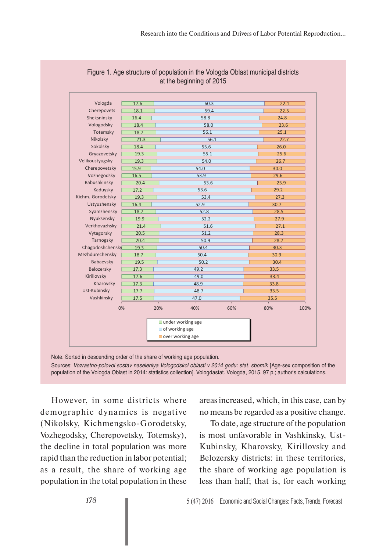| Vologda           | 17.6 |     | 60.3                |     | 22.1        |
|-------------------|------|-----|---------------------|-----|-------------|
| Cherepovets       | 18.1 |     | 59.4                |     | 22.5        |
| Sheksninsky       | 16.4 |     | 58.8                |     | 24.8        |
| Vologodsky        | 18.4 |     | 58.0                |     | 23.6        |
| Totemsky          | 18.7 |     | 56.1                |     | 25.1        |
| Nikolsky          | 21.3 |     | 56.1                |     | 22.7        |
| Sokolsky          | 18.4 |     | 55.6                |     | 26.0        |
| Gryazovetsky      | 19.3 |     | 55.1                |     | 25.6        |
| Velikoustyugsky   | 19.3 |     | 54.0                |     | 26.7        |
| Cherepovetsky     | 15.9 |     | 54.0                |     | 30.0        |
| Vozhegodsky       | 16.5 |     | 53.9                |     | 29.6        |
| Babushkinsky      | 20.4 |     | 53.6                |     | 25.9        |
| Kaduysky          | 17.2 |     | 53.6                |     | 29.2        |
| Kichm.-Gorodetsky | 19.3 |     | 53.4                |     | 27.3        |
| Ustyuzhensky      | 16.4 |     | 52.9                |     | 30.7        |
| Syamzhensky       | 18.7 |     | 52.8                |     | 28.5        |
| Nyuksensky        | 19.9 |     | 52.2                |     | 27.9        |
| Verkhovazhsky     | 21.4 |     | 51.6                |     | 27.1        |
| Vytegorsky        | 20.5 |     | 51.2                |     | 28.3        |
| Tarnogsky         | 20.4 |     | 50.9                |     | 28.7        |
| Chagodoshchensky  | 19.3 |     | 50.4                |     | 30.3        |
| Mezhdurechensky   | 18.7 |     | 50.4                |     | 30.9        |
| Babaevsky         | 19.5 |     | 50.2                |     | 30.4        |
| Belozersky        | 17.3 |     | 49.2                |     | 33.5        |
| Kirillovsky       | 17.6 |     | 49.0                |     | 33.4        |
| Kharovsky         | 17.3 |     | 48.9                |     | 33.8        |
| Ust-Kubinsky      | 17.7 |     | 48.7                |     | 33.5        |
| Vashkinsky        | 17.5 |     | 47.0                |     | 35.5        |
| 0%                |      | 20% | 40%                 | 60% | 80%<br>100% |
|                   |      |     | ■ under working age |     |             |
|                   |      |     | of working age      |     |             |
|                   |      |     | over working age    |     |             |
|                   |      |     |                     |     |             |

# Figure 1. Age structure of population in the Vologda Oblast municipal districts at the beginning of 2015

Note. Sorted in descending order of the share of working age population. Sources: *Vozrastno-polovoi sostav naseleniya Vologodskoi oblasti v 2014 godu*: *stat. sbornik* [Age-sex composition of the population of the Vologda Oblast in 2014: statistics collection]. Vologdastat. Vologda, 2015. 97 p.; author's calculations.

However, in some districts where demographic dynamics is negative (Nikolsky, Kichmengsko-Gorodetsky, Vozhegodsky, Cherepovetsky, Totemsky), the decline in total population was more rapid than the reduction in labor potential; as a result, the share of working age population in the total population in these

areas increased, which, in this case, can by no means be regarded as a positive change.

To date, age structure of the population is most unfavorable in Vashkinsky, Ust-Kubinsky, Kharovsky, Kirillovsky and Belozersky districts: in these territories, the share of working age population is less than half; that is, for each working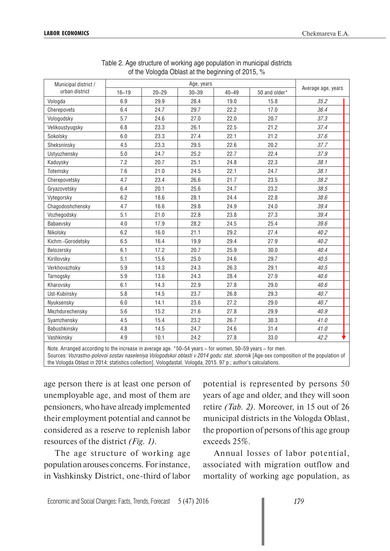| Municipal district / |           |           | Age, years |           |               |                    |
|----------------------|-----------|-----------|------------|-----------|---------------|--------------------|
| urban district       | $16 - 19$ | $20 - 29$ | $30 - 39$  | $40 - 49$ | 50 and older* | Average age, years |
| Vologda              | 6.9       | 29.9      | 28.4       | 19.0      | 15.8          | 35.2               |
| Cherepovets          | 6.4       | 24.7      | 29.7       | 22.2      | 17.0          | 36.4               |
| Vologodsky           | 5.7       | 24.6      | 27.0       | 22.0      | 20.7          | 37.3               |
| Velikoustyugsky      | 6.8       | 23.3      | 26.1       | 22.5      | 21.2          | 37.4               |
| Sokolsky             | 6.0       | 23.3      | 27.4       | 22.1      | 21.2          | 37.6               |
| Sheksninsky          | 4.5       | 23.3      | 29.5       | 22.6      | 20.2          | 37.7               |
| Ustyuzhensky         | 5.0       | 24.7      | 25.2       | 22.7      | 22.4          | 37.9               |
| Kaduysky             | 7.2       | 20.7      | 25.1       | 24.8      | 22.3          | 38.1               |
| Totemsky             | 7.6       | 21.0      | 24.5       | 22.1      | 24.7          | 38.1               |
| Cherepovetsky        | 4.7       | 23.4      | 26.6       | 21.7      | 23.5          | 38.2               |
| Gryazovetsky         | 6.4       | 20.1      | 25.6       | 24.7      | 23.2          | 38.5               |
| Vytegorsky           | 6.2       | 18.6      | 28.1       | 24.4      | 22.8          | 38.6               |
| Chagodoshchensky     | 4.7       | 16.6      | 29.8       | 24.9      | 24.0          | 39.4               |
| Vozhegodsky          | 5.1       | 21.0      | 22.8       | 23.8      | 27.3          | 39.4               |
| Babaevsky            | 4.0       | 17.9      | 28.2       | 24.5      | 25.4          | 39.6               |
| Nikolsky             | 6.2       | 16.0      | 21.1       | 29.2      | 27.4          | 40.2               |
| Kichm.-Gorodetsky    | 6.5       | 16.4      | 19.9       | 29.4      | 27.9          | 40.2               |
| Belozersky           | 6.1       | 17.2      | 20.7       | 25.9      | 30.0          | 40.4               |
| Kirillovsky          | 5.1       | 15.6      | 25.0       | 24.6      | 29.7          | 40.5               |
| Verkhovazhsky        | 5.9       | 14.3      | 24.3       | 26.3      | 29.1          | 40.5               |
| Tarnogsky            | 5.9       | 13.6      | 24.3       | 28.4      | 27.9          | 40.6               |
| Kharovsky            | 6.1       | 14.3      | 22.9       | 27.8      | 29.0          | 40.6               |
| Ust-Kubinsky         | 5.8       | 14.5      | 23.7       | 26.8      | 29.3          | 40.7               |
| Nyuksensky           | 6.0       | 14.1      | 23.6       | 27.2      | 29.0          | 40.7               |
| Mezhdurechensky      | 5.6       | 15.2      | 21.6       | 27.8      | 29.9          | 40.9               |
| Syamzhensky          | 4.5       | 15.4      | 23.2       | 26.7      | 30.3          | 41.0               |
| Babushkinsky         | 4.8       | 14.5      | 24.7       | 24.6      | 31.4          | 41.0               |
| Vashkinsky           | 4.9       | 10.1      | 24.2       | 27.8      | 33.0          | 42.2               |

Table 2. Age structure of working age population in municipal districts of the Vologda Oblast at the beginning of 2015, %

Note. Arranged according to the increase in average age. \*50–54 years – for women, 50–59 years – for men. Sources: *Vozrastno-polovoi sostav naseleniya Vologodskoi oblasti v 2014 godu: stat. sbornik* [Age-sex composition of the population of the Vologda Oblast in 2014: statistics collection]. Vologdastat. Vologda, 2015. 97 p.; author's calculations.

age person there is at least one person of unemployable age, and most of them are pensioners, who have already implemented their employment potential and cannot be considered as a reserve to replenish labor resources of the district *(Fig. 1)*.

The age structure of working age population arouses concerns. For instance, in Vashkinsky District, one-third of labor

potential is represented by persons 50 years of age and older, and they will soon retire *(Tab. 2)*. Moreover, in 15 out of 26 municipal districts in the Vologda Oblast, the proportion of persons of this age group exceeds 25%.

Annual losses of labor potential, associated with migration outflow and mortality of working age population, as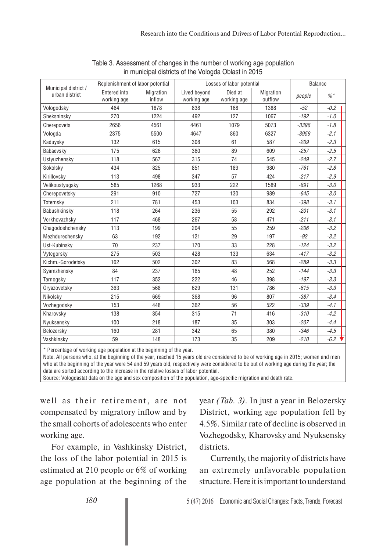|                                        | Replenishment of labor potential |                     |                             | Losses of labor potential |                      |         | <b>Balance</b> |  |
|----------------------------------------|----------------------------------|---------------------|-----------------------------|---------------------------|----------------------|---------|----------------|--|
| Municipal district /<br>urban district | Entered into<br>working age      | Migration<br>inflow | Lived beyond<br>working age | Died at<br>working age    | Migration<br>outflow | people  | $\% *$         |  |
| Vologodsky                             | 464                              | 1878                | 838                         | 168                       | 1388                 | $-52$   | $-0.2$         |  |
| Sheksninsky                            | 270                              | 1224                | 492                         | 127                       | 1067                 | $-192$  | $-1.0$         |  |
| Cherepovets                            | 2656                             | 4561                | 4461                        | 1079                      | 5073                 | $-3396$ | $-1.8$         |  |
| Vologda                                | 2375                             | 5500                | 4647                        | 860                       | 6327                 | $-3959$ | $-2.1$         |  |
| Kaduysky                               | 132                              | 615                 | 308                         | 61                        | 587                  | $-209$  | $-2.3$         |  |
| Babaevsky                              | 175                              | 626                 | 360                         | 89                        | 609                  | $-257$  | $-2.5$         |  |
| Ustyuzhensky                           | 118                              | 567                 | 315                         | 74                        | 545                  | $-249$  | $-2.7$         |  |
| Sokolsky                               | 434                              | 825                 | 851                         | 189                       | 980                  | $-761$  | $-2.8$         |  |
| Kirillovsky                            | 113                              | 498                 | 347                         | 57                        | 424                  | $-217$  | $-2.9$         |  |
| Velikoustyugsky                        | 585                              | 1268                | 933                         | 222                       | 1589                 | $-891$  | $-3.0$         |  |
| Cherepovetsky                          | 291                              | 910                 | 727                         | 130                       | 989                  | $-645$  | $-3.0$         |  |
| Totemsky                               | 211                              | 781                 | 453                         | 103                       | 834                  | $-398$  | $-3.1$         |  |
| Babushkinsky                           | 118                              | 264                 | 236                         | 55                        | 292                  | $-201$  | $-3.1$         |  |
| Verkhovazhsky                          | 117                              | 468                 | 267                         | 58                        | 471                  | $-211$  | $-3.1$         |  |
| Chagodoshchensky                       | 113                              | 199                 | 204                         | 55                        | 259                  | $-206$  | $-3.2$         |  |
| Mezhdurechensky                        | 63                               | 192                 | 121                         | 29                        | 197                  | $-92$   | $-3.2$         |  |
| Ust-Kubinsky                           | 70                               | 237                 | 170                         | 33                        | 228                  | $-124$  | $-3.2$         |  |
| Vytegorsky                             | 275                              | 503                 | 428                         | 133                       | 634                  | $-417$  | $-3.2$         |  |
| Kichm.-Gorodetsky                      | 162                              | 502                 | 302                         | 83                        | 568                  | $-289$  | $-3.3$         |  |
| Syamzhensky                            | 84                               | 237                 | 165                         | 48                        | 252                  | $-144$  | $-3.3$         |  |
| Tarnogsky                              | 117                              | 352                 | 222                         | 46                        | 398                  | $-197$  | $-3.3$         |  |
| Gryazovetsky                           | 363                              | 568                 | 629                         | 131                       | 786                  | $-615$  | $-3.3$         |  |
| Nikolsky                               | 215                              | 669                 | 368                         | 96                        | 807                  | $-387$  | $-3.4$         |  |
| Vozhegodsky                            | 153                              | 448                 | 362                         | 56                        | 522                  | $-339$  | $-4.1$         |  |
| Kharovsky                              | 138                              | 354                 | 315                         | 71                        | 416                  | $-310$  | $-4.2$         |  |
| Nyuksensky                             | 100                              | 218                 | 187                         | 35                        | 303                  | $-207$  | $-4.4$         |  |
| Belozersky                             | 160                              | 281                 | 342                         | 65                        | 380                  | $-346$  | $-4.5$         |  |
| Vashkinsky                             | 59                               | 148                 | 173                         | 35                        | 209                  | $-210$  | $-6.2$         |  |

#### Table 3. Assessment of changes in the number of working age population in municipal districts of the Vologda Oblast in 2015

\* Percentage of working age population at the beginning of the year.

Note. All persons who, at the beginning of the year, reached 15 years old are considered to be of working age in 2015; women and men who at the beginning of the year were 54 and 59 years old, respectively were considered to be out of working age during the year; the data are sorted according to the increase in the relative losses of labor potential.

Source: Vologdastat data on the age and sex composition of the population, age-specific migration and death rate.

well as their retirement, are not compensated by migratory inflow and by the small cohorts of adolescents who enter working age.

For example, in Vashkinsky District, the loss of the labor potential in 2015 is estimated at 210 people or 6% of working age population at the beginning of the

year *(Tab. 3)*. In just a year in Belozersky District, working age population fell by 4.5%. Similar rate of decline is observed in Vozhegodsky, Kharovsky and Nyuksensky districts.

Currently, the majority of districts have an extremely unfavorable population structure. Here it is important to understand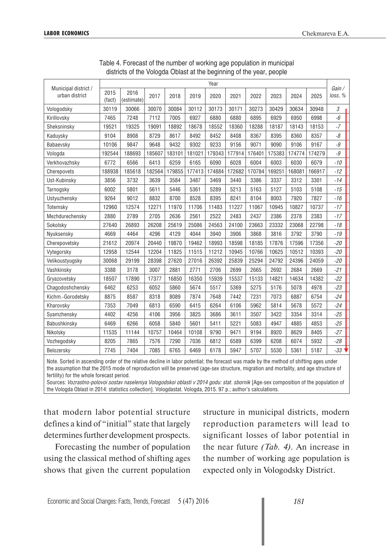|                                        |                |                    |        |        |        | Year   |        |        |        |        |        |                  |
|----------------------------------------|----------------|--------------------|--------|--------|--------|--------|--------|--------|--------|--------|--------|------------------|
| Municipal district /<br>urban district | 2015<br>(fact) | 2016<br>(estimate) | 2017   | 2018   | 2019   | 2020   | 2021   | 2022   | 2023   | 2024   | 2025   | Gain/<br>loss, % |
| Vologodsky                             | 30119          | 30066              | 30070  | 30084  | 30112  | 30173  | 30171  | 30273  | 30429  | 30634  | 30948  | 3                |
| Kirillovsky                            | 7465           | 7248               | 7112   | 7005   | 6927   | 6880   | 6880   | 6895   | 6929   | 6950   | 6998   | $-6$             |
| Sheksninsky                            | 19521          | 19325              | 19091  | 18892  | 18678  | 18552  | 18360  | 18288  | 18187  | 18143  | 18153  | $-7$             |
| Kaduysky                               | 9104           | 8908               | 8729   | 8617   | 8492   | 8452   | 8408   | 8367   | 8395   | 8360   | 8357   | -8               |
| Babaevsky                              | 10106          | 9847               | 9648   | 9432   | 9302   | 9233   | 9156   | 9071   | 9090   | 9106   | 9167   | $\mathcal{Q}$    |
| Vologda                                | 192544         | 188693             | 185607 | 183101 | 181021 | 179343 | 177914 | 176401 | 175383 | 174774 | 174279 | $-9$             |
| Verkhovazhsky                          | 6772           | 6566               | 6413   | 6259   | 6165   | 6090   | 6028   | 6004   | 6003   | 6030   | 6079   | $-10$            |
| Cherepovets                            | 188938         | 185618             | 182564 | 179855 | 177413 | 174884 | 172682 | 170784 | 169251 | 168081 | 166917 | $-12$            |
| Ust-Kubinsky                           | 3856           | 3732               | 3639   | 3584   | 3487   | 3469   | 3440   | 3386   | 3337   | 3312   | 3301   | $-14$            |
| Tarnogsky                              | 6002           | 5801               | 5611   | 5446   | 5361   | 5289   | 5213   | 5163   | 5127   | 5103   | 5108   | $-15$            |
| Ustyuzhensky                           | 9264           | 9012               | 8832   | 8700   | 8528   | 8395   | 8241   | 8104   | 8003   | 7920   | 7827   | $-16$            |
| Totemsky                               | 12960          | 12574              | 12271  | 11970  | 11706  | 11483  | 11227  | 11067  | 10945  | 10827  | 10737  | $-17$            |
| Mezhdurechensky                        | 2880           | 2789               | 2705   | 2636   | 2561   | 2522   | 2483   | 2437   | 2386   | 2378   | 2383   | $-17$            |
| Sokolsky                               | 27640          | 26893              | 26208  | 25619  | 25086  | 24563  | 24100  | 23663  | 23332  | 23068  | 22798  | $-18$            |
| Nyuksensky                             | 4669           | 4464               | 4296   | 4129   | 4044   | 3940   | 3906   | 3868   | 3816   | 3792   | 3790   | $-19$            |
| Cherepovetsky                          | 21612          | 20974              | 20440  | 19870  | 19462  | 18993  | 18598  | 18185  | 17876  | 17596  | 17356  | $-20$            |
| Vytegorsky                             | 12958          | 12544              | 12204  | 11825  | 11515  | 11212  | 10945  | 10766  | 10625  | 10512  | 10393  | $-20$            |
| Velikoustyugsky                        | 30068          | 29199              | 28398  | 27620  | 27016  | 26392  | 25839  | 25294  | 24792  | 24396  | 24059  | $-20$            |
| Vashkinsky                             | 3388           | 3178               | 3007   | 2881   | 2771   | 2706   | 2699   | 2665   | 2692   | 2684   | 2669   | $-21$            |
| Gryazovetsky                           | 18507          | 17890              | 17377  | 16850  | 16350  | 15939  | 15537  | 15133  | 14821  | 14634  | 14382  | $-22$            |
| Chagodoshchensky                       | 6462           | 6253               | 6052   | 5860   | 5674   | 5517   | 5369   | 5275   | 5176   | 5078   | 4978   | $-23$            |
| Kichm.-Gorodetsky                      | 8875           | 8587               | 8318   | 8089   | 7874   | 7648   | 7442   | 7231   | 7073   | 6887   | 6754   | $-24$            |
| Kharovsky                              | 7353           | 7049               | 6813   | 6590   | 6415   | 6264   | 6106   | 5962   | 5814   | 5678   | 5572   | $-24$            |
| Syamzhensky                            | 4402           | 4256               | 4106   | 3956   | 3825   | 3686   | 3611   | 3507   | 3422   | 3354   | 3314   | $-25$            |
| Babushkinsky                           | 6469           | 6266               | 6058   | 5840   | 5601   | 5411   | 5221   | 5083   | 4947   | 4885   | 4853   | $-25$            |
| Nikolsky                               | 11535          | 11144              | 10757  | 10464  | 10108  | 9790   | 9471   | 9194   | 8920   | 8629   | 8405   | $-27$            |
| Vozhegodsky                            | 8205           | 7865               | 7576   | 7290   | 7036   | 6812   | 6589   | 6399   | 6208   | 6074   | 5932   | $-28$            |
| Belozersky                             | 7745           | 7404               | 7085   | 6765   | 6469   | 6178   | 5947   | 5707   | 5530   | 5361   | 5187   | $-33$ $\sqrt{ }$ |

Table 4. Forecast of the number of working age population in municipal districts of the Vologda Oblast at the beginning of the year, people

Note. Sorted in ascending order of the relative decline in labor potential; the forecast was made by the method of shifting ages under the assumption that the 2015 mode of reproduction will be preserved (age-sex structure, migration and mortality, and age structure of fertility) for the whole forecast period.

Sources: *Vozrastno-polovoi sostav naseleniya Vologodskoi oblasti v 2014 godu: stat. sbornik* [Age-sex composition of the population of the Vologda Oblast in 2014: statistics collection]. Vologdastat. Vologda, 2015. 97 p.; author's calculations.

that modern labor potential structure defines a kind of "initial" state that largely determines further development prospects.

Forecasting the number of population using the classical method of shifting ages shows that given the current population

structure in municipal districts, modern reproduction parameters will lead to significant losses of labor potential in the near future *(Tab. 4)*. An increase in the number of working age population is expected only in Vologodsky District.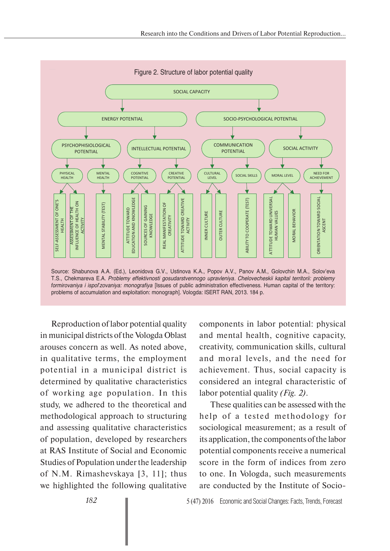

Reproduction of labor potential quality in municipal districts of the Vologda Oblast arouses concern as well. As noted above, in qualitative terms, the employment potential in a municipal district is determined by qualitative characteristics of working age population. In this study, we adhered to the theoretical and methodological approach to structuring and assessing qualitative characteristics of population, developed by researchers at RAS Institute of Social and Economic Studies of Population under the leadership of N.M. Rimashevskaya [3, 11]; thus we highlighted the following qualitative

components in labor potential: physical and mental health, cognitive capacity, creativity, communication skills, cultural and moral levels, and the need for achievement. Thus, social capacity is considered an integral characteristic of labor potential quality *(Fig. 2)*.

These qualities can be assessed with the help of a tested methodology for sociological measurement; as a result of its application, the components of the labor potential components receive a numerical score in the form of indices from zero to one. In Vologda, such measurements are conducted by the Institute of Socio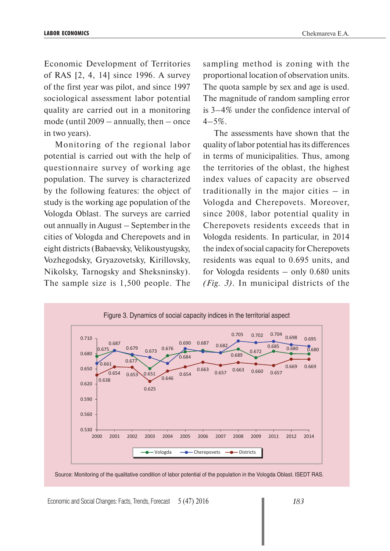Economic Development of Territories of RAS [2, 4, 14] since 1996. A survey of the first year was pilot, and since 1997 sociological assessment labor potential quality are carried out in a monitoring mode (until 2009 – annually, then – once in two years).

Monitoring of the regional labor potential is carried out with the help of questionnaire survey of working age population. The survey is characterized by the following features: the object of study is the working age population of the Vologda Oblast. The surveys are carried out annually in August – September in the cities of Vologda and Cherepovets and in eight districts (Babaevsky, Velikoustyugsky, Vozhegodsky, Gryazovetsky, Kirillovsky, Nikolsky, Tarnogsky and Sheksninsky). The sample size is 1,500 people. The

sampling method is zoning with the proportional location of observation units. The quota sample by sex and age is used. The magnitude of random sampling error is 3–4% under the confidence interval of  $4 - 5\%$ 

The assessments have shown that the quality of labor potential has its differences in terms of municipalities. Thus, among the territories of the oblast, the highest index values of capacity are observed traditionally in the major cities – in Vologda and Cherepovets. Moreover, since 2008, labor potential quality in Cherepovets residents exceeds that in Vologda residents. In particular, in 2014 the index of social capacity for Cherepovets residents was equal to 0.695 units, and for Vologda residents – only 0.680 units *(Fig. 3)*. In municipal districts of the





Economic and Social Changes: Facts, Trends, Forecast 5 (47) 2016 *183*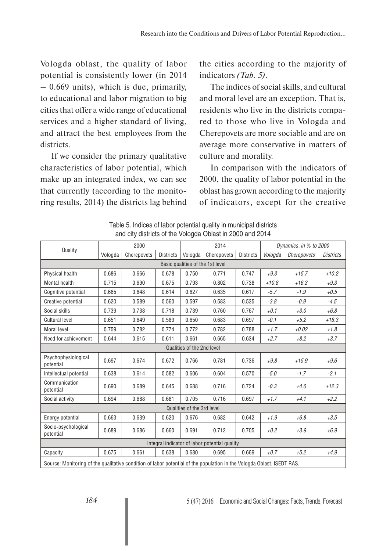Vologda oblast, the quality of labor potential is consistently lower (in 2014  $-0.669$  units), which is due, primarily, to educational and labor migration to big cities that offer a wide range of educational services and a higher standard of living, and attract the best employees from the districts.

If we consider the primary qualitative characteristics of labor potential, which make up an integrated index, we can see that currently (according to the monitoring results, 2014) the districts lag behind the cities according to the majority of indicators *(Tab. 5)*.

The indices of social skills, and cultural and moral level are an exception. That is, residents who live in the districts compared to those who live in Vologda and Cherepovets are more sociable and are on average more conservative in matters of culture and morality.

In comparison with the indicators of 2000, the quality of labor potential in the oblast has grown according to the majority of indicators, except for the creative

|                                                                                                                        |         | 2000        |                  |                            | 2014                                          |                  |         | Dynamics, in % to 2000 |                  |
|------------------------------------------------------------------------------------------------------------------------|---------|-------------|------------------|----------------------------|-----------------------------------------------|------------------|---------|------------------------|------------------|
| Quality                                                                                                                | Vologda | Cherepovets | <b>Districts</b> | Vologda                    | Cherepovets                                   | <b>Districts</b> | Vologda | Cherepovets            | <b>Districts</b> |
|                                                                                                                        |         |             |                  |                            | Basic qualities of the 1st level              |                  |         |                        |                  |
| Physical health                                                                                                        | 0.686   | 0.666       | 0.678            | 0.750                      | 0.771                                         | 0.747            | $+9.3$  | $+15.7$                | $+10.2$          |
| Mental health                                                                                                          | 0.715   | 0.690       | 0.675            | 0.793                      | 0.802                                         | 0.738            | $+10.8$ | $+16.3$                | $+9.3$           |
| Cognitive potential                                                                                                    | 0.665   | 0.648       | 0.614            | 0.627                      | 0.635                                         | 0.617            | $-5.7$  | $-1.9$                 | $+0.5$           |
| Creative potential                                                                                                     | 0.620   | 0.589       | 0.560            | 0.597                      | 0.583                                         | 0.535            | $-3.8$  | $-0.9$                 | $-4.5$           |
| Social skills                                                                                                          | 0.739   | 0.738       | 0.718            | 0.739                      | 0.760                                         | 0.767            | $+0.1$  | $+3.0$                 | $+6.8$           |
| <b>Cultural level</b>                                                                                                  | 0.651   | 0.649       | 0.589            | 0.650                      | 0.683                                         | 0.697            | $-0.1$  | $+5.2$                 | $+18.3$          |
| Moral level                                                                                                            | 0.759   | 0.782       | 0.774            | 0.772                      | 0.782                                         | 0.788            | $+1.7$  | $+0.02$                | $+1.8$           |
| Need for achievement                                                                                                   | 0.644   | 0.615       | 0.611            | 0.661                      | 0.665                                         | 0.634            | $+2.7$  | $+8.2$                 | $+3.7$           |
|                                                                                                                        |         |             |                  | Qualities of the 2nd level |                                               |                  |         |                        |                  |
| Psychophysiological<br>potential                                                                                       | 0.697   | 0.674       | 0.672            | 0.766                      | 0.781                                         | 0.736            | $+9.8$  | $+15.9$                | $+9.6$           |
| Intellectual potential                                                                                                 | 0.638   | 0.614       | 0.582            | 0.606                      | 0.604                                         | 0.570            | $-5.0$  | $-1.7$                 | $-2.1$           |
| Communication<br>potential                                                                                             | 0.690   | 0.689       | 0.645            | 0.688                      | 0.716                                         | 0.724            | $-0.3$  | $+4.0$                 | $+12.3$          |
| Social activity                                                                                                        | 0.694   | 0.688       | 0.681            | 0.705                      | 0.716                                         | 0.697            | $+1.7$  | $+4.1$                 | $+2.2$           |
|                                                                                                                        |         |             |                  | Qualities of the 3rd level |                                               |                  |         |                        |                  |
| Energy potential                                                                                                       | 0.663   | 0.639       | 0.620            | 0.676                      | 0.682                                         | 0.642            | $+1.9$  | $+6.8$                 | $+3.5$           |
| Socio-psychological<br>0.689<br>0.686<br>0.660<br>0.691<br>0.712<br>0.705<br>$+3.9$<br>$+0.2$<br>potential             |         |             |                  |                            |                                               |                  |         |                        | $+6.9$           |
|                                                                                                                        |         |             |                  |                            | Integral indicator of labor potential quality |                  |         |                        |                  |
| Capacity                                                                                                               | 0.675   | 0.661       | 0.638            | 0.680                      | 0.695                                         | 0.669            | $+0.7$  | $+5.2$                 | $+4.9$           |
| Source: Monitoring of the qualitative condition of labor potential of the population in the Vologda Oblast. ISEDT RAS. |         |             |                  |                            |                                               |                  |         |                        |                  |

Table 5. Indices of labor potential quality in municipal districts and city districts of the Vologda Oblast in 2000 and 2014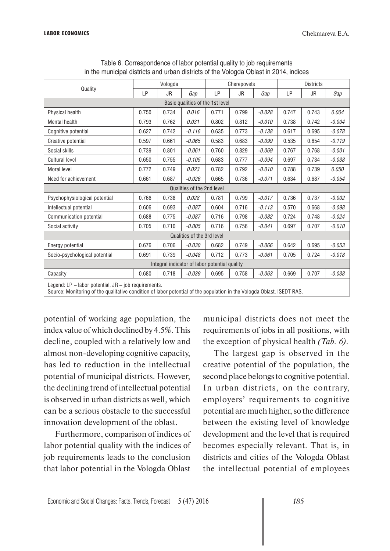| Quality                                                                                                     |                                                                                        | Vologda   |                                  |       | Cherepovets |          |       | <b>Districts</b> |          |  |
|-------------------------------------------------------------------------------------------------------------|----------------------------------------------------------------------------------------|-----------|----------------------------------|-------|-------------|----------|-------|------------------|----------|--|
|                                                                                                             | LP                                                                                     | <b>JR</b> | Gap                              | LP    | <b>JR</b>   | Gap      | LP    | <b>JR</b>        | Gap      |  |
|                                                                                                             |                                                                                        |           | Basic qualities of the 1st level |       |             |          |       |                  |          |  |
| Physical health                                                                                             | 0.750                                                                                  | 0.734     | 0.016                            | 0.771 | 0.799       | $-0.028$ | 0.747 | 0.743            | 0.004    |  |
| <b>Mental health</b>                                                                                        | 0.793                                                                                  | 0.762     | 0.031                            | 0.802 | 0.812       | $-0.010$ | 0.738 | 0.742            | $-0.004$ |  |
| Cognitive potential                                                                                         | 0.627                                                                                  | 0.742     | $-0.116$                         | 0.635 | 0.773       | $-0.138$ | 0.617 | 0.695            | $-0.078$ |  |
| Creative potential                                                                                          | 0.597                                                                                  | 0.661     | $-0.065$                         | 0.583 | 0.683       | $-0.099$ | 0.535 | 0.654            | $-0.119$ |  |
| Social skills                                                                                               | 0.739                                                                                  | 0.801     | $-0.061$                         | 0.760 | 0.829       | $-0.069$ | 0.767 | 0.768            | $-0.001$ |  |
| <b>Cultural level</b>                                                                                       | 0.650                                                                                  | 0.755     | $-0.105$                         | 0.683 | 0.777       | $-0.094$ | 0.697 | 0.734            | $-0.038$ |  |
| Moral level                                                                                                 | 0.772                                                                                  | 0.749     | 0.023                            | 0.782 | 0.792       | $-0.010$ | 0.788 | 0.739            | 0.050    |  |
| Need for achievement                                                                                        | 0.661                                                                                  | 0.687     | $-0.026$                         | 0.665 | 0.736       | $-0.071$ | 0.634 | 0.687            | $-0.054$ |  |
|                                                                                                             |                                                                                        |           | Qualities of the 2nd level       |       |             |          |       |                  |          |  |
| Psychophysiological potential                                                                               | 0.766                                                                                  | 0.738     | 0.028                            | 0.781 | 0.799       | $-0.017$ | 0.736 | 0.737            | $-0.002$ |  |
| Intellectual potential                                                                                      | 0.606                                                                                  | 0.693     | $-0.087$                         | 0.604 | 0.716       | $-0.113$ | 0.570 | 0.668            | $-0.098$ |  |
| Communication potential                                                                                     | 0.688                                                                                  | 0.775     | $-0.087$                         | 0.716 | 0.798       | $-0.082$ | 0.724 | 0.748            | $-0.024$ |  |
| Social activity                                                                                             | 0.705                                                                                  | 0.710     | $-0.005$                         | 0.716 | 0.756       | $-0.041$ | 0.697 | 0.707            | $-0.010$ |  |
|                                                                                                             |                                                                                        |           | Qualities of the 3rd level       |       |             |          |       |                  |          |  |
| Energy potential                                                                                            | 0.676                                                                                  | 0.706     | $-0.030$                         | 0.682 | 0.749       | $-0.066$ | 0.642 | 0.695            | $-0.053$ |  |
| Socio-psychological potential<br>0.691<br>0.739<br>$-0.048$<br>0.712<br>0.773<br>$-0.061$<br>0.705<br>0.724 |                                                                                        |           |                                  |       |             |          |       | $-0.018$         |          |  |
|                                                                                                             | Integral indicator of labor potential quality                                          |           |                                  |       |             |          |       |                  |          |  |
| Capacity                                                                                                    | $-0.039$<br>0.680<br>0.718<br>0.695<br>0.758<br>$-0.063$<br>0.669<br>0.707<br>$-0.038$ |           |                                  |       |             |          |       |                  |          |  |
| Legend: LP - labor potential, JR - job requirements.                                                        |                                                                                        |           |                                  |       |             |          |       |                  |          |  |

Table 6. Correspondence of labor potential quality to job requirements in the municipal districts and urban districts of the Vologda Oblast in 2014, indices

Legend: LP – labor potential, JR – job requirements.

Source: Monitoring of the qualitative condition of labor potential of the population in the Vologda Oblast. ISEDT RAS.

potential of working age population, the index value of which declined by 4.5%. This decline, coupled with a relatively low and almost non-developing cognitive capacity, has led to reduction in the intellectual potential of municipal districts. However, the declining trend of intellectual potential is observed in urban districts as well, which can be a serious obstacle to the successful innovation development of the oblast.

Furthermore, comparison of indices of labor potential quality with the indices of job requirements leads to the conclusion that labor potential in the Vologda Oblast

municipal districts does not meet the requirements of jobs in all positions, with the exception of physical health *(Tab. 6)*.

The largest gap is observed in the creative potential of the population, the second place belongs to cognitive potential. In urban districts, on the contrary, employers' requirements to cognitive potential are much higher, so the difference between the existing level of knowledge development and the level that is required becomes especially relevant. That is, in districts and cities of the Vologda Oblast the intellectual potential of employees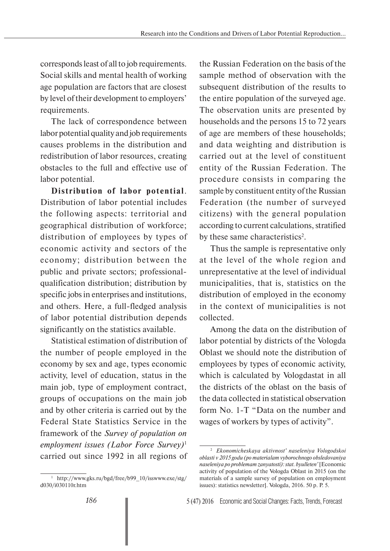corresponds least of all to job requirements. Social skills and mental health of working age population are factors that are closest by level of their development to employers' requirements.

The lack of correspondence between labor potential quality and job requirements causes problems in the distribution and redistribution of labor resources, creating obstacles to the full and effective use of labor potential.

**Distribution of labor potential**. Distribution of labor potential includes the following aspects: territorial and geographical distribution of workforce; distribution of employees by types of economic activity and sectors of the economy; distribution between the public and private sectors; professionalqualification distribution; distribution by specific jobs in enterprises and institutions, and others. Here, a full-fledged analysis of labor potential distribution depends significantly on the statistics available.

Statistical estimation of distribution of the number of people employed in the economy by sex and age, types economic activity, level of education, status in the main job, type of employment contract, groups of occupations on the main job and by other criteria is carried out by the Federal State Statistics Service in the framework of the *Survey of population on employment issues (Labor Force Survey)*<sup>1</sup> carried out since 1992 in all regions of the Russian Federation on the basis of the sample method of observation with the subsequent distribution of the results to the entire population of the surveyed age. The observation units are presented by households and the persons 15 to 72 years of age are members of these households; and data weighting and distribution is carried out at the level of constituent entity of the Russian Federation. The procedure consists in comparing the sample by constituent entity of the Russian Federation (the number of surveyed citizens) with the general population according to current calculations, stratified by these same characteristics<sup>2</sup>.

Thus the sample is representative only at the level of the whole region and unrepresentative at the level of individual municipalities, that is, statistics on the distribution of employed in the economy in the context of municipalities is not collected.

Among the data on the distribution of labor potential by districts of the Vologda Oblast we should note the distribution of employees by types of economic activity, which is calculated by Vologdastat in all the districts of the oblast on the basis of the data collected in statistical observation form No. 1-T "Data on the number and wages of workers by types of activity".

<sup>1</sup> http://www.gks.ru/bgd/free/b99\_10/isswww.exe/stg/ d030/i030110r.htm

<sup>2</sup> *Ekonomicheskaya aktivnost' naseleniya Vologodskoi oblasti v 2015 godu (po materialam vyborochnogo obsledovaniya naseleniya po problemam zanyatosti): stat. byulleten'* [Economic activity of population of the Vologda Oblast in 2015 (on the materials of a sample survey of population on employment issues): statistics newsletter]. Vologda, 2016. 50 p. P. 5.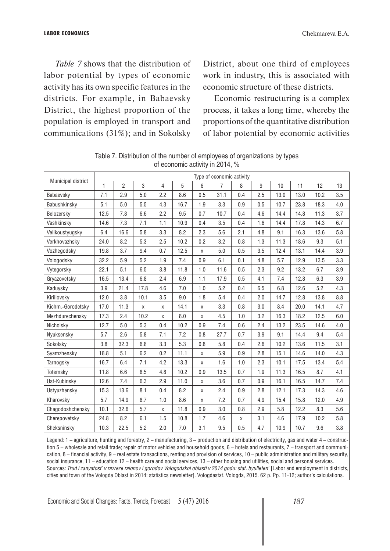*Table 7* shows that the distribution of labor potential by types of economic activity has its own specific features in the districts. For example, in Babaevsky District, the highest proportion of the population is employed in transport and communications (31%); and in Sokolsky

District, about one third of employees work in industry, this is associated with economic structure of these districts.

Economic restructuring is a complex process, it takes a long time, whereby the proportions of the quantitative distribution of labor potential by economic activities

|                    |      |      |                |              |      |     | Type of economic activity |     |     |                 |      |      |     |
|--------------------|------|------|----------------|--------------|------|-----|---------------------------|-----|-----|-----------------|------|------|-----|
| Municipal district | 1    | 2    | $\mathfrak{S}$ | 4            | 5    | 6   | 7                         | 8   | 9   | 10 <sup>1</sup> | 11   | 12   | 13  |
| Babaevsky          | 7.1  | 2.9  | 5.0            | 2.2          | 8.6  | 0.5 | 31.1                      | 0.4 | 2.5 | 13.0            | 13.0 | 10.2 | 3.5 |
| Babushkinsky       | 5.1  | 5.0  | 5.5            | 4.3          | 16.7 | 1.9 | 3.3                       | 0.9 | 0.5 | 10.7            | 23.8 | 18.3 | 4.0 |
| Belozersky         | 12.5 | 7.8  | 6.6            | 2.2          | 9.5  | 0.7 | 10.7                      | 0.4 | 4.6 | 14.4            | 14.8 | 11.3 | 3.7 |
| Vashkinsky         | 14.6 | 7.3  | 7.1            | 1.1          | 10.9 | 0.4 | 3.5                       | 0.4 | 1.6 | 14.4            | 17.8 | 14.3 | 6.7 |
| Velikoustyugsky    | 6.4  | 16.6 | 5.8            | 3.3          | 8.2  | 2.3 | 5.6                       | 2.1 | 4.8 | 9.1             | 16.3 | 13.6 | 5.8 |
| Verkhovazhsky      | 24.0 | 8.2  | 5.3            | 2.5          | 10.2 | 0.2 | 3.2                       | 0.8 | 1.3 | 11.3            | 18.6 | 9.3  | 5.1 |
| Vozhegodsky        | 19.8 | 3.7  | 9.4            | 0.7          | 12.5 | X   | 5.0                       | 0.5 | 3.5 | 12.4            | 13.1 | 14.4 | 3.9 |
| Vologodsky         | 32.2 | 5.9  | 5.2            | 1.9          | 7.4  | 0.9 | 6.1                       | 0.1 | 4.8 | 5.7             | 12.9 | 13.5 | 3.3 |
| Vytegorsky         | 22.1 | 5.1  | 6.5            | 3.8          | 11.8 | 1.0 | 11.6                      | 0.5 | 2.3 | 9.2             | 13.2 | 6.7  | 3.9 |
| Gryazovetsky       | 16.5 | 13.4 | 6.8            | 2.4          | 6.9  | 1.1 | 17.9                      | 0.5 | 4.1 | 7.4             | 12.8 | 6.3  | 3.9 |
| Kaduysky           | 3.9  | 21.4 | 17.8           | 4.6          | 7.0  | 1.0 | 5.2                       | 0.4 | 6.5 | 6.8             | 12.6 | 5.2  | 4.3 |
| Kirillovsky        | 12.0 | 3.8  | 10.1           | 3.5          | 9.0  | 1.8 | 5.4                       | 0.4 | 2.0 | 14.7            | 12.8 | 13.8 | 8.8 |
| Kichm.-Gorodetsky  | 17.0 | 11.3 | $\pmb{\times}$ | X            | 14.1 | X   | 3.3                       | 0.8 | 3.0 | 8.4             | 20.0 | 14.1 | 4.7 |
| Mezhdurechensky    | 17.3 | 2.4  | 10.2           | $\mathsf{X}$ | 8.0  | X   | 4.5                       | 1.0 | 3.2 | 16.3            | 18.2 | 12.5 | 6.0 |
| Nicholsky          | 12.7 | 5.0  | 5.3            | 0.4          | 10.2 | 0.9 | 7.4                       | 0.6 | 2.4 | 13.2            | 23.5 | 14.6 | 4.0 |
| Nyuksensky         | 5.7  | 2.6  | 5.8            | 7.1          | 7.2  | 0.8 | 27.7                      | 0.7 | 3.9 | 9.1             | 14.4 | 9.4  | 5.4 |
| Sokolsky           | 3.8  | 32.3 | 6.8            | 3.3          | 5.3  | 0.8 | 5.8                       | 0.4 | 2.6 | 10.2            | 13.6 | 11.5 | 3.1 |
| Syamzhensky        | 18.8 | 5.1  | 6.2            | 0.2          | 11.1 | X   | 5.9                       | 0.9 | 2.8 | 15.1            | 14.6 | 14.0 | 4.3 |
| Tarnogsky          | 16.7 | 6.4  | 7.1            | 4.2          | 13.3 | X   | 1.6                       | 1.0 | 2.3 | 10.1            | 17.5 | 13.4 | 5.4 |
| Totemsky           | 11.8 | 6.6  | 8.5            | 4.8          | 10.2 | 0.9 | 13.5                      | 0.7 | 1.9 | 11.3            | 16.5 | 8.7  | 4.1 |
| Ust-Kubinsky       | 12.6 | 7.4  | 6.3            | 2.9          | 11.0 | X   | 3.6                       | 0.7 | 0.9 | 16.1            | 16.5 | 14.7 | 7.4 |
| Ustyuzhensky       | 15.3 | 13.6 | 8.1            | 0.4          | 8.2  | X   | 2.4                       | 0.9 | 2.8 | 12.1            | 17.3 | 14.3 | 4.6 |
| Kharovsky          | 5.7  | 14.9 | 8.7            | 1.0          | 8.6  | X   | 7.2                       | 0.7 | 4.9 | 15.4            | 15.8 | 12.0 | 4.9 |
| Chagodoshchensky   | 10.1 | 32.6 | 5.7            | X            | 11.8 | 0.9 | 3.0                       | 0.8 | 2.9 | 5.8             | 12.2 | 8.3  | 5.6 |
| Cherepovetsky      | 24.8 | 8.2  | 6.1            | 1.5          | 10.8 | 1.7 | 4.6                       | X   | 3.1 | 4.6             | 17.9 | 10.2 | 5.8 |
| Sheksninsky        | 10.3 | 22.5 | 5.2            | 2.0          | 7.0  | 3.1 | 9.5                       | 0.5 | 4.7 | 10.9            | 10.7 | 9.6  | 3.8 |

Table 7. Distribution of the number of employees of organizations by types of economic activity in 2014, %

Legend: 1 – agriculture, hunting and forestry, 2 – manufacturing, 3 – production and distribution of electricity, gas and water 4 – construction 5 – wholesale and retail trade; repair of motor vehicles and household goods, 6 – hotels and restaurants, 7 – transport and communication, 8 – financial activity, 9 – real estate transactions, renting and provision of services, 10 – public administration and military security, social insurance, 11 – education 12 – health care and social services, 13 – other housing and utilities, social and personal services. Sources: *Trud i zanyatost' v razreze raionov i gorodov Vologodskoi oblasti v 2014 godu: stat. byulleten'* [Labor and employment in districts, cities and town of the Vologda Oblast in 2014: statistics newsletter]. Vologdastat. Vologda, 2015. 62 p. Pp. 11-12; author's calculations.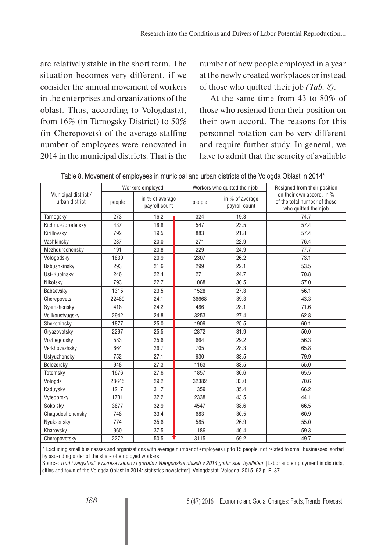are relatively stable in the short term. The situation becomes very different, if we consider the annual movement of workers in the enterprises and organizations of the oblast. Thus, according to Vologdastat, from 16% (in Tarnogsky District) to 50% (in Cherepovets) of the average staffing number of employees were renovated in 2014 in the municipal districts. That is the

number of new people employed in a year at the newly created workplaces or instead of those who quitted their job *(Tab. 8).*

At the same time from 43 to 80% of those who resigned from their position on their own accord. The reasons for this personnel rotation can be very different and require further study. In general, we have to admit that the scarcity of available

|                                        |        | Workers employed                 |        | Workers who quitted their job    | Resigned from their position                                                       |
|----------------------------------------|--------|----------------------------------|--------|----------------------------------|------------------------------------------------------------------------------------|
| Municipal district /<br>urban district | people | in % of average<br>payroll count | people | in % of average<br>payroll count | on their own accord, in %<br>of the total number of those<br>who quitted their job |
| Tarnogsky                              | 273    | 16.2                             | 324    | 19.3                             | 74.7                                                                               |
| Kichm.-Gorodetsky                      | 437    | 18.8                             | 547    | 23.5                             | 57.4                                                                               |
| Kirillovsky                            | 792    | 19.5                             | 883    | 21.8                             | 57.4                                                                               |
| Vashkinsky                             | 237    | 20.0                             | 271    | 22.9                             | 76.4                                                                               |
| Mezhdurechensky                        | 191    | 20.8                             | 229    | 24.9                             | 77.7                                                                               |
| Vologodsky                             | 1839   | 20.9                             | 2307   | 26.2                             | 73.1                                                                               |
| Babushkinsky                           | 293    | 21.6                             | 299    | 22.1                             | 53.5                                                                               |
| Ust-Kubinsky                           | 246    | 22.4                             | 271    | 24.7                             | 70.8                                                                               |
| Nikolsky                               | 793    | 22.7                             | 1068   | 30.5                             | 57.0                                                                               |
| Babaevsky                              | 1315   | 23.5                             | 1528   | 27.3                             | 56.1                                                                               |
| Cherepovets                            | 22489  | 24.1                             | 36668  | 39.3                             | 43.3                                                                               |
| Syamzhensky                            | 418    | 24.2                             | 486    | 28.1                             | 71.6                                                                               |
| Velikoustyugsky                        | 2942   | 24.8                             | 3253   | 27.4                             | 62.8                                                                               |
| Sheksninsky                            | 1877   | 25.0                             | 1909   | 25.5                             | 60.1                                                                               |
| Gryazovetsky                           | 2297   | 25.5                             | 2872   | 31.9                             | 50.0                                                                               |
| Vozhegodsky                            | 583    | 25.6                             | 664    | 29.2                             | 56.3                                                                               |
| Verkhovazhsky                          | 664    | 26.7                             | 705    | 28.3                             | 65.8                                                                               |
| Ustyuzhensky                           | 752    | 27.1                             | 930    | 33.5                             | 79.9                                                                               |
| Belozersky                             | 948    | 27.3                             | 1163   | 33.5                             | 55.0                                                                               |
| Totemsky                               | 1676   | 27.6                             | 1857   | 30.6                             | 65.5                                                                               |
| Vologda                                | 28645  | 29.2                             | 32382  | 33.0                             | 70.6                                                                               |
| Kaduysky                               | 1217   | 31.7                             | 1359   | 35.4                             | 66.2                                                                               |
| Vytegorsky                             | 1731   | 32.2                             | 2338   | 43.5                             | 44.1                                                                               |
| Sokolsky                               | 3877   | 32.9                             | 4547   | 38.6                             | 66.5                                                                               |
| Chagodoshchensky                       | 748    | 33.4                             | 683    | 30.5                             | 60.9                                                                               |
| Nyuksensky                             | 774    | 35.6                             | 585    | 26.9                             | 55.0                                                                               |
| Kharovsky                              | 960    | 37.5                             | 1186   | 46.4                             | 59.3                                                                               |
| Cherepovetsky                          | 2272   | 50.5                             | 3115   | 69.2                             | 49.7                                                                               |

|  |  |  | Table 8. Movement of employees in municipal and urban districts of the Vologda Oblast in 2014* |  |
|--|--|--|------------------------------------------------------------------------------------------------|--|
|--|--|--|------------------------------------------------------------------------------------------------|--|

\* Excluding small businesses and organizations with average number of employees up to 15 people, not related to small businesses; sorted by ascending order of the share of employed workers.

Source: *Trud i zanyatost' v razreze raionov i gorodov Vologodskoi oblasti v 2014 godu: stat. byulleten'* [Labor and employment in districts, cities and town of the Vologda Oblast in 2014: statistics newsletter]. Vologdastat. Vologda, 2015. 62 p. P. 37.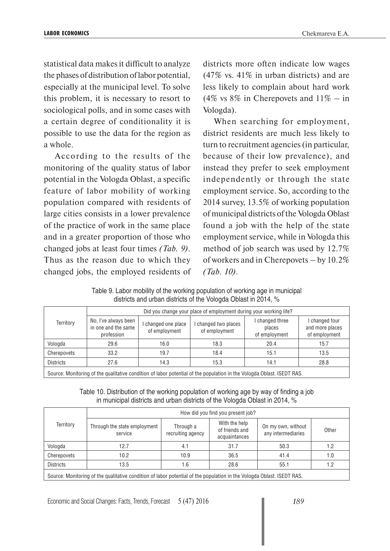statistical data makes it difficult to analyze the phases of distribution of labor potential, especially at the municipal level. To solve this problem, it is necessary to resort to sociological polls, and in some cases with a certain degree of conditionality it is possible to use the data for the region as a whole.

According to the results of the monitoring of the quality status of labor potential in the Vologda Oblast, a specific feature of labor mobility of working population compared with residents of large cities consists in a lower prevalence of the practice of work in the same place and in a greater proportion of those who changed jobs at least four times *(Tab. 9)*. Thus as the reason due to which they changed jobs, the employed residents of districts more often indicate low wages (47% vs. 41% in urban districts) and are less likely to complain about hard work (4% vs  $8\%$  in Cherepovets and  $11\%$  – in Vologda).

When searching for employment, district residents are much less likely to turn to recruitment agencies (in particular, because of their low prevalence), and instead they prefer to seek employment independently or through the state employment service. So, according to the 2014 survey, 13.5% of working population of municipal districts of the Vologda Oblast found a job with the help of the state employment service, while in Vologda this method of job search was used by 12.7% of workers and in Cherepovets – by 10.2% *(Tab. 10)*.

Table 9. Labor mobility of the working population of working age in municipal districts and urban districts of the Vologda Oblast in 2014, %

|                                                                                                                        |                                                           |                                    | Did you change your place of employment during your working life? |                                            |                                                    |  |  |  |
|------------------------------------------------------------------------------------------------------------------------|-----------------------------------------------------------|------------------------------------|-------------------------------------------------------------------|--------------------------------------------|----------------------------------------------------|--|--|--|
| Territory                                                                                                              | No, I've always been<br>in one and the same<br>profession | changed one place<br>of employment | changed two places<br>of employment                               | I changed three<br>places<br>of employment | I changed four<br>and more places<br>of employment |  |  |  |
| Vologda                                                                                                                | 29.6                                                      | 16.0                               | 18.3                                                              | 20.4                                       | 15.7                                               |  |  |  |
| Cherepovets                                                                                                            | 33.2                                                      | 19.7                               | 18.4                                                              | 15.1                                       | 13.5                                               |  |  |  |
| <b>Districts</b>                                                                                                       | 27.6                                                      | 14.3                               | 15.3                                                              | 14.1                                       | 28.8                                               |  |  |  |
| Source: Monitoring of the qualitative condition of labor potential of the population in the Vologda Oblast. ISEDT RAS. |                                                           |                                    |                                                                   |                                            |                                                    |  |  |  |

Table 10. Distribution of the working population of working age by way of finding a job in municipal districts and urban districts of the Vologda Oblast in 2014, %

|                                                                                                                        |                                         |                                | How did you find you present job?                |                                          |       |  |  |  |
|------------------------------------------------------------------------------------------------------------------------|-----------------------------------------|--------------------------------|--------------------------------------------------|------------------------------------------|-------|--|--|--|
| Territory                                                                                                              | Through the state employment<br>service | Through a<br>recruiting agency | With the help<br>of friends and<br>acquaintances | On my own, without<br>any intermediaries | Other |  |  |  |
| Vologda                                                                                                                | 12.7                                    | 4.1                            | 31.7                                             | 50.3                                     | 1.2   |  |  |  |
| Cherepovets                                                                                                            | 10.2                                    | 10.9                           | 36.5                                             | 41.4                                     | 1.0   |  |  |  |
| <b>Districts</b>                                                                                                       | 13.5                                    | 1.6                            | 28.6                                             | 55.1                                     | 1.2   |  |  |  |
| Source: Monitoring of the qualitative condition of labor potential of the population in the Vologda Oblast. ISEDT RAS. |                                         |                                |                                                  |                                          |       |  |  |  |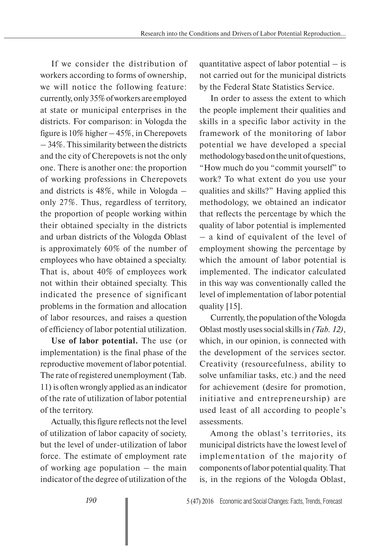If we consider the distribution of workers according to forms of ownership, we will notice the following feature: currently, only 35% of workers are employed at state or municipal enterprises in the districts. For comparison: in Vologda the figure is 10% higher – 45%, in Cherepovets – 34%. This similarity between the districts and the city of Cherepovets is not the only one. There is another one: the proportion of working professions in Cherepovets and districts is 48%, while in Vologda – only 27%. Thus, regardless of territory, the proportion of people working within their obtained specialty in the districts and urban districts of the Vologda Oblast is approximately 60% of the number of employees who have obtained a specialty. That is, about 40% of employees work not within their obtained specialty. This indicated the presence of significant problems in the formation and allocation of labor resources, and raises a question of efficiency of labor potential utilization.

**Use of labor potential.** The use (or implementation) is the final phase of the reproductive movement of labor potential. The rate of registered unemployment (Tab. 11) is often wrongly applied as an indicator of the rate of utilization of labor potential of the territory.

Actually, this figure reflects not the level of utilization of labor capacity of society, but the level of under-utilization of labor force. The estimate of employment rate of working age population – the main indicator of the degree of utilization of the

quantitative aspect of labor potential  $-$  is not carried out for the municipal districts by the Federal State Statistics Service.

In order to assess the extent to which the people implement their qualities and skills in a specific labor activity in the framework of the monitoring of labor potential we have developed a special methodology based on the unit of questions, "How much do you "commit yourself" to work? To what extent do you use your qualities and skills?" Having applied this methodology, we obtained an indicator that reflects the percentage by which the quality of labor potential is implemented – a kind of equivalent of the level of employment showing the percentage by which the amount of labor potential is implemented. The indicator calculated in this way was conventionally called the level of implementation of labor potential quality [15].

Currently, the population of the Vologda Oblast mostly uses social skills in *(Tab. 12)*, which, in our opinion, is connected with the development of the services sector. Creativity (resourcefulness, ability to solve unfamiliar tasks, etc.) and the need for achievement (desire for promotion, initiative and entrepreneurship) are used least of all according to people's assessments.

Among the oblast's territories, its municipal districts have the lowest level of implementation of the majority of components of labor potential quality. That is, in the regions of the Vologda Oblast,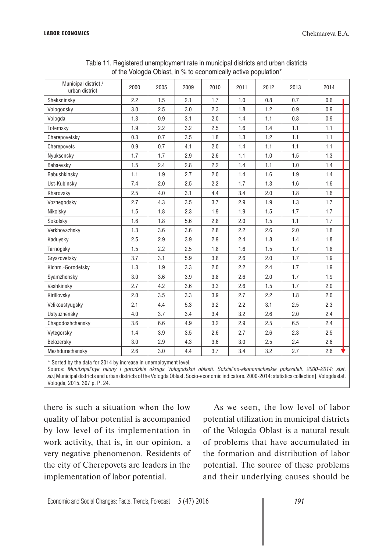| Municipal district /<br>urban district | 2000 | 2005 | 2009 | 2010 | 2011 | 2012 | 2013 | 2014 |
|----------------------------------------|------|------|------|------|------|------|------|------|
| Sheksninsky                            | 2.2  | 1.5  | 2.1  | 1.7  | 1.0  | 0.8  | 0.7  | 0.6  |
| Vologodsky                             | 3.0  | 2.5  | 3.0  | 2.3  | 1.8  | 1.2  | 0.9  | 0.9  |
| Vologda                                | 1.3  | 0.9  | 3.1  | 2.0  | 1.4  | 1.1  | 0.8  | 0.9  |
| Totemsky                               | 1.9  | 2.2  | 3.2  | 2.5  | 1.6  | 1.4  | 1.1  | 1.1  |
| Cherepovetsky                          | 0.3  | 0.7  | 3.5  | 1.8  | 1.3  | 1.2  | 1.1  | 1.1  |
| Cherepovets                            | 0.9  | 0.7  | 4.1  | 2.0  | 1.4  | 1.1  | 1.1  | 1.1  |
| Nyuksensky                             | 1.7  | 1.7  | 2.9  | 2.6  | 1.1  | 1.0  | 1.5  | 1.3  |
| Babaevsky                              | 1.5  | 2.4  | 2.8  | 2.2  | 1.4  | 1.1  | 1.0  | 1.4  |
| Babushkinsky                           | 1.1  | 1.9  | 2.7  | 2.0  | 1.4  | 1.6  | 1.9  | 1.4  |
| Ust-Kubinsky                           | 7.4  | 2.0  | 2.5  | 2.2  | 1.7  | 1.3  | 1.6  | 1.6  |
| Kharovsky                              | 2.5  | 4.0  | 3.1  | 4.4  | 3.4  | 2.0  | 1.8  | 1.6  |
| Vozhegodsky                            | 2.7  | 4.3  | 3.5  | 3.7  | 2.9  | 1.9  | 1.3  | 1.7  |
| Nikolsky                               | 1.5  | 1.8  | 2.3  | 1.9  | 1.9  | 1.5  | 1.7  | 1.7  |
| Sokolsky                               | 1.6  | 1.8  | 5.6  | 2.8  | 2.0  | 1.5  | 1.1  | 1.7  |
| Verkhovazhsky                          | 1.3  | 3.6  | 3.6  | 2.8  | 2.2  | 2.6  | 2.0  | 1.8  |
| Kaduysky                               | 2.5  | 2.9  | 3.9  | 2.9  | 2.4  | 1.8  | 1.4  | 1.8  |
| Tarnogsky                              | 1.5  | 2.2  | 2.5  | 1.8  | 1.6  | 1.5  | 1.7  | 1.8  |
| Gryazovetsky                           | 3.7  | 3.1  | 5.9  | 3.8  | 2.6  | 2.0  | 1.7  | 1.9  |
| Kichm.-Gorodetsky                      | 1.3  | 1.9  | 3.3  | 2.0  | 2.2  | 2.4  | 1.7  | 1.9  |
| Syamzhensky                            | 3.0  | 3.6  | 3.9  | 3.8  | 2.6  | 2.0  | 1.7  | 1.9  |
| Vashkinsky                             | 2.7  | 4.2  | 3.6  | 3.3  | 2.6  | 1.5  | 1.7  | 2.0  |
| Kirillovsky                            | 2.0  | 3.5  | 3.3  | 3.9  | 2.7  | 2.2  | 1.8  | 2.0  |
| Velikoustyugsky                        | 2.1  | 4.4  | 5.3  | 3.2  | 2.2  | 3.1  | 2.5  | 2.3  |
| Ustyuzhensky                           | 4.0  | 3.7  | 3.4  | 3.4  | 3.2  | 2.6  | 2.0  | 2.4  |
| Chagodoshchensky                       | 3.6  | 6.6  | 4.9  | 3.2  | 2.9  | 2.5  | 6.5  | 2.4  |
| Vytegorsky                             | 1.4  | 3.9  | 3.5  | 2.6  | 2.7  | 2.6  | 2.3  | 2.5  |
| Belozersky                             | 3.0  | 2.9  | 4.3  | 3.6  | 3.0  | 2.5  | 2.4  | 2.6  |
| Mezhdurechensky                        | 2.6  | 3.0  | 4.4  | 3.7  | 3.4  | 3.2  | 2.7  | 2.6  |

Table 11. Registered unemployment rate in municipal districts and urban districts of the Vologda Oblast, in % to economically active population\*

\* Sorted by the data for 2014 by increase in unemployment level.

Source: *Munitsipal'nye raiony i gorodskie okruga Vologodskoi oblasti. Sotsial'no-ekonomicheskie pokazateli. 2000–2014: stat. sb.*[Municipal districts and urban districts of the Vologda Oblast. Socio-economic indicators. 2000-2014: statistics collection]. Vologdastat. Vologda, 2015. 307 p. P. 24.

there is such a situation when the low quality of labor potential is accompanied by low level of its implementation in work activity, that is, in our opinion, a very negative phenomenon. Residents of the city of Cherepovets are leaders in the implementation of labor potential.

As we seen, the low level of labor potential utilization in municipal districts of the Vologda Oblast is a natural result of problems that have accumulated in the formation and distribution of labor potential. The source of these problems and their underlying causes should be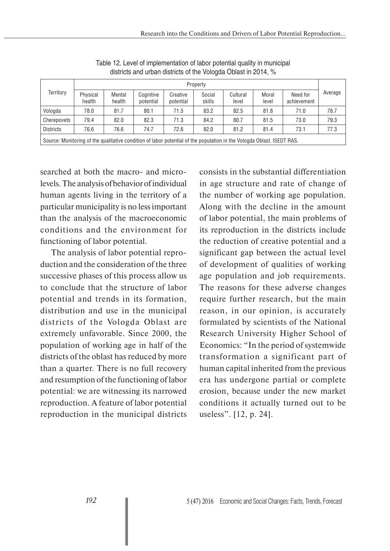| $\frac{1}{2}$                                                                                                          |                    |                  |                        |                       |                  |                   |                |                         |         |  |
|------------------------------------------------------------------------------------------------------------------------|--------------------|------------------|------------------------|-----------------------|------------------|-------------------|----------------|-------------------------|---------|--|
| Territory                                                                                                              | Property           |                  |                        |                       |                  |                   |                |                         |         |  |
|                                                                                                                        | Physical<br>health | Mental<br>health | Cognitive<br>potential | Creative<br>potential | Social<br>skills | Cultural<br>level | Moral<br>level | Need for<br>achievement | Average |  |
| Vologda                                                                                                                | 78.0               | 81.7             | 80.1                   | 71.5                  | 83.2             | 82.5              | 81.8           | 71.0                    | 78.7    |  |
| Cherepovets                                                                                                            | 79.4               | 82.0             | 82.3                   | 71.3                  | 84.2             | 80.7              | 81.5           | 73.0                    | 79.3    |  |
| <b>Districts</b>                                                                                                       | 76.6               | 76.6             | 74.7                   | 72.6                  | 82.0             | 81.2              | 81.4           | 73.1                    | 77.3    |  |
| Source: Monitoring of the qualitative condition of labor potential of the population in the Vologda Oblast. ISEDT RAS. |                    |                  |                        |                       |                  |                   |                |                         |         |  |

Table 12. Level of implementation of labor potential quality in municipal districts and urban districts of the Vologda Oblast in 2014, %

searched at both the macro- and microlevels. The analysis of behavior of individual human agents living in the territory of a particular municipality is no less important than the analysis of the macroeconomic conditions and the environment for functioning of labor potential.

The analysis of labor potential reproduction and the consideration of the three successive phases of this process allow us to conclude that the structure of labor potential and trends in its formation, distribution and use in the municipal districts of the Vologda Oblast are extremely unfavorable. Since 2000, the population of working age in half of the districts of the oblast has reduced by more than a quarter. There is no full recovery and resumption of the functioning of labor potential: we are witnessing its narrowed reproduction. A feature of labor potential reproduction in the municipal districts consists in the substantial differentiation in age structure and rate of change of the number of working age population. Along with the decline in the amount of labor potential, the main problems of its reproduction in the districts include the reduction of creative potential and a significant gap between the actual level of development of qualities of working age population and job requirements. The reasons for these adverse changes require further research, but the main reason, in our opinion, is accurately formulated by scientists of the National Research University Higher School of Economics: "In the period of systemwide transformation a significant part of human capital inherited from the previous era has undergone partial or complete erosion, because under the new market conditions it actually turned out to be useless". [12, p. 24].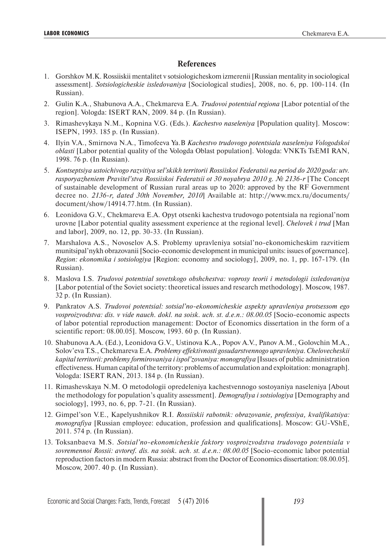# **References**

- 1. Gorshkov M.K. Rossiiskii mentalitet v sotsiologicheskom izmerenii [Russian mentality in sociological assessment]. *Sotsiologicheskie issledovaniya* [Sociological studies], 2008, no. 6, pp. 100-114. (In Russian).
- 2. Gulin K.A., Shabunova A.A., Chekmareva E.A. *Trudovoi potentsial regiona* [Labor potential of the region]. Vologda: ISERT RAN, 2009. 84 p. (In Russian).
- 3. Rimashevykaya N.M., Kopnina V.G. (Eds.). *Kachestvo naseleniya* [Population quality]. Moscow: ISEPN, 1993. 185 p. (In Russian).
- 4. Ilyin V.A., Smirnova N.A., Timofeeva Ya.B *Kachestvo trudovogo potentsiala naseleniya Vologodskoi oblasti* [Labor potential quality of the Vologda Oblast population]. Vologda: VNKTs TsEMI RAN, 1998. 76 p. (In Russian).
- 5. *Kontseptsiya ustoichivogo razvitiya sel'skikh territorii Rossiiskoi Federatsii na period do 2020 goda: utv. rasporyazheniem Pravitel'stva Rossiiskoi Federatsii ot 30 noyabrya 2010 g. № 2136-r* [The Concept of sustainable development of Russian rural areas up to 2020: approved by the RF Government decree no. *2136-r, dated 30th November, 2010*] Available at: http://www.mcx.ru/documents/ document/show/14914.77.htm. (In Russian).
- 6. Leonidova G.V., Chekmareva E.A. Opyt otsenki kachestva trudovogo potentsiala na regional'nom urovne [Labor potential quality assessment experience at the regional level]. *Chelovek i trud* [Man and labor], 2009, no. 12, pp. 30-33. (In Russian).
- 7. Marshalova A.S., Novoselov A.S. Problemy upravleniya sotsial'no-ekonomicheskim razvitiem munitsipal'nykh obrazovanii [Socio-economic development in municipal units: issues of governance]. *Region: ekonomika i sotsiologiya* [Region: economy and sociology], 2009, no. 1, pp. 167-179. (In Russian).
- 8. Maslova I.S. *Trudovoi potentsial sovetskogo obshchestva: voprosy teorii i metodologii issledovaniya* [Labor potential of the Soviet society: theoretical issues and research methodology]. Moscow, 1987. 32 p. (In Russian).
- 9. Pankratov A.S. *Trudovoi potentsial: sotsial'no-ekonomicheskie aspekty upravleniya protsessom ego*  vosproizvodstva: dis. v vide nauch. dokl. na soisk. uch. st. d.e.n.: 08.00.05 [Socio-economic aspects of labor potential reproduction management: Doctor of Economics dissertation in the form of a scientific report: 08.00.05]. Moscow, 1993. 60 p. (In Russian).
- 10. Shabunova A.A. (Ed.), Leonidova G.V., Ustinova K.A., Popov A.V., Panov A.M., Golovchin M.A., Solov'eva T.S., Chekmareva E.A. *Problemy effektivnosti gosudarstvennogo upravleniya. Chelovecheskii kapital territorii: problemy formirovaniya i ispol'zovaniya: monografiya* [Issues of public administration effectiveness. Human capital of the territory: problems of accumulation and exploitation: monagraph]. Vologda: ISERT RAN, 2013. 184 p. (In Russian).
- 11. Rimashevskaya N.M. O metodologii opredeleniya kachestvennogo sostoyaniya naseleniya [About the methodology for population's quality assessment]. *Demografiya i sotsiologiya* [Demography and sociology], 1993, no. 6, pp. 7-21. (In Russian).
- 12. Gimpel'son V.E., Kapelyushnikov R.I. *Rossiiskii rabotnik: obrazovanie, professiya, kvalifikatsiya: monografiya* [Russian employee: education, profession and qualifications]. Moscow: GU-VShE, 2011. 574 p. (In Russian).
- 13. Toksanbaeva M.S. *Sotsial'no-ekonomicheskie faktory vosproizvodstva trudovogo potentsiala v sovremennoi Rossii: avtoref. dis. na soisk. uch. st. d.e.n.: 08.00.05* [Socio-economic labor potential reproduction factors in modern Russia: abstract from the Doctor of Economics dissertation: 08.00.05]. Moscow, 2007. 40 p. (In Russian).